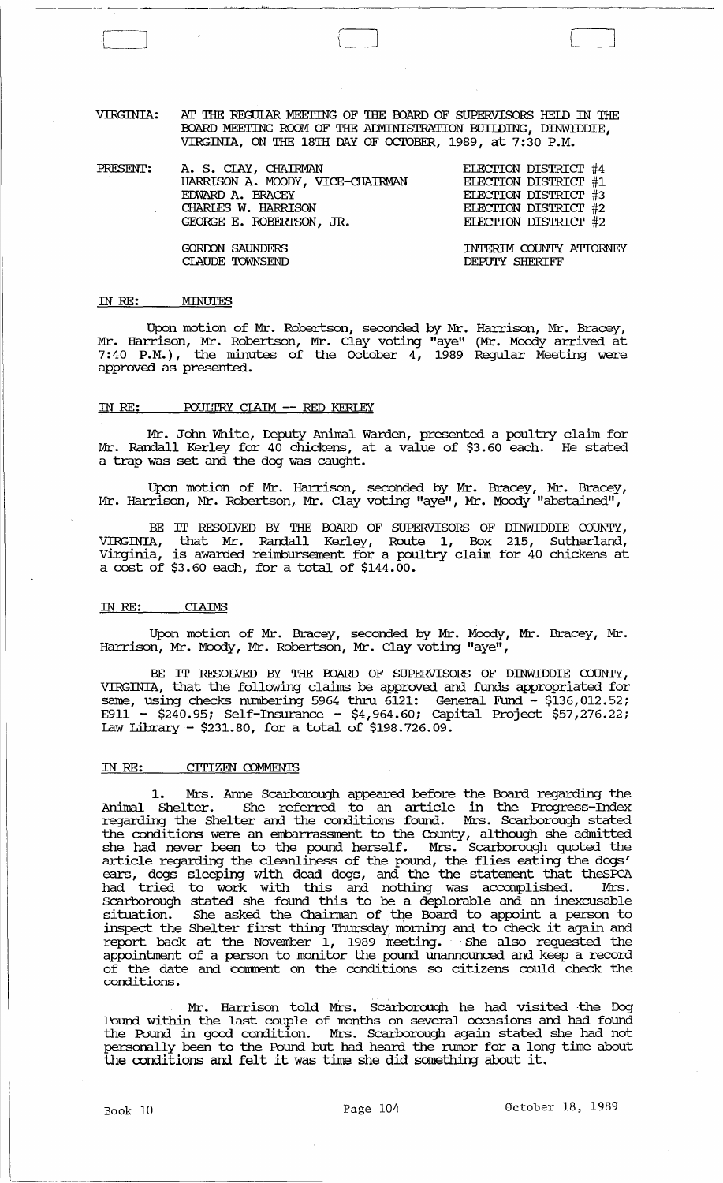VIRGINIA: AT THE REGULAR MEETING OF THE BOARD OF SUPERVISORS HEID IN THE IDARD MEEI'ING RCOM OF THE ALMINISTRATION BUIIDING, DINWIDDIE, VIRGINIA, ON THE 18TH DAY OF OCTOBER, 1989, at 7:30 P.M.

PRESENT: A. S. CIAY, CHAIRMAN HARRISON A. MOODY, VICE-cHAIRMAN EDWARD A. BRACEY CHARLFS W. HARRISON GEORGE E. ROBERISON, JR. GORDON SAUNDERS CIAUDE 'IOWNSEND ELECI'ION DISTRIcr #4 ELECI'ION DISTRIcr #1 ELECI'ION DISTRIcr #3 ELECI'ION DISTRIcr #2 ELECI'ION DISTRIcr #2 INTERIM COUNTY ATl'ORNEY DEPUIY SHERIFF

#### IN RE: MINUTES

 $\int$ -----------------------

Upon motion of Mr. Robertson, seconded by Mr. Harrison, Mr. Bracey, Mr. Harrison, Mr. Robertson, Mr. Clay voting "aye" (Mr. Moody arrived at 7:40 P.M.), the minutes of the October  $4$ , 1989 Regular Meeting were approved as presented.

### IN RE:  $_{2}$  POULTRY CIAIM -- RED KERLEY

Mr. John White, Deputy Animal Warden, presented a poultry claim for Mr. Randall Kerley for 40 chickens, at a value of \$3.60 each. He stated a trap was set and the dog was caught.

Upon motion of Mr. Harrison, seconded by Mr. Bracey, Mr. Bracey, Mr. Harrison, Mr. Robertson, Mr. Clay voting "aye", Mr. Moody "abstained",

BE IT RESOLVED BY THE BOARD OF SUPERVISORS OF DINWIDDIE COUNTY, VIRGINIA, that Mr. Randall Kerley, Route 1, Box 215, Sutherland, virginia, is awarded reimbursement for a poultry claim for 40 chickens at a cost of \$3.60 each, for a total of \$144.00.

### IN RE: CIAIMS

Upon motion of Mr. Bracey, seconded by Mr. Moody, Mr. Bracey, Mr . Harrison, Mr. Moody, Mr. Robertson, Mr. Clay voting "aye",

BE IT RESOLVED BY THE BOARD OF SUPERVISORS OF DINWIDDIE COUNTY, VIRGINIA, that the following claims be approved and funds appropriated for same, using checks numbering 5964 thru  $\overline{61}21$ : General Fund -  $\overline{51}36,012.52$ ; E911 - \$240.95; Self-Insurance - \$4,964.60; Capital Project \$57,276.22; Law Library - \$231.80, for a total of \$198.726.09.

#### IN RE: CITIZEN COMMENTS

Mrs. Anne Scarborough appeared before the Board regarding the Anllnal Shelter. She referred to an article in the Progress-Index regarding the Shelter and the conditions found. Mrs. Scarborough stated the conditions were an embarrassment to the County, although she admitted she had never been to the pound herself. Mrs. Scarborough quoted the article regarding the cleanliness of the pound, the flies eating the dogs' ears, dogs sleeping with dead dogs, and the the statement that theSPC'A had tried to work with this and nothing was accomplished. Mrs. Scarborough stated she found this to be a deplorable and an inexcusable situation. She asked the Chainnan of the Board to appoint a person to inspect the Shelter first thing Thursday morning and to check it again and report back at the November 1, 1989 meeting. She also requested the appointment of a person to monitor the pound unannounced and keep a record of the date and conment on the conditions so citizens could check the conditions.

Mr. Harrison told Mrs. Scarborough he had visited the Dog Pound within the last couple of months on several occasions and had found the Pound in good condition. Mrs. Scarborough again stated she had not personally been to the Pound but had heard the rumor for a long time about the conditions and felt it was time she did something about it.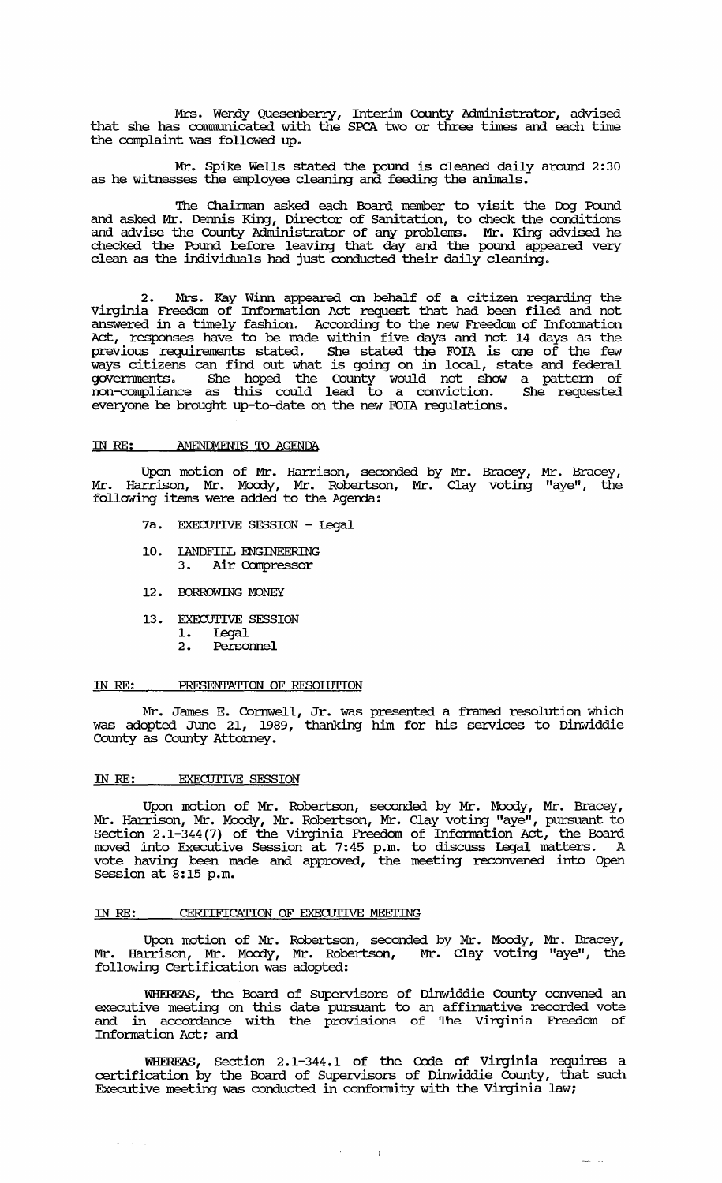Mrs. Wendy Quesenberry, Interim County Administrator, advised that she has communicated with the SPCA two or three times and each time the complaint was followed up.

Mr. Spike Wells stated the pound is cleaned daily around 2: 30 as he witnesses the employee cleaning and feeding the animals.

The Chainnan asked each Board member to visit the Dog Pound and asked Mr. Dermis King, Director of Sanitation, to check the conditions and advise the County Administrator of any problems. Mr. King advised he checked the Pound before leaving that day and the pound appeared very clean as the individuals had just conducted their daily cleaning.

2. Mrs. Kay Winn appeared on behalf of a citizen regarding the Virginia Freedom of Infomation Act request that had been filed and not answered in a timely fashion. According to the new Freedom of Infomation Act, responses have to be made within five days and not 14 days as the previous requirements stated. She stated the FOIA is one of the few ways citizens can find out what is going on in local, state and federal governments. She hoped the county would not show a pattern of non-compliance as this could lead to a conviction. She requested everyone be brought up-to-date on the new FOIA regulations.

#### IN RE: AMENDMENTS TO AGENDA

Upon motion of Mr. Harrison, seconded by Mr. Bracey, Mr. Bracey, Mr. Harrison, Mr. Moody, Mr. Robertson, Mr. Clay voting "aye", the following items were added to the Agenda:

- 7a. EXECUTIVE SESSION Legal
- 10. IANDFILL ENGINEERING<br>3. Air Compressor 3. Air Compressor
- 12. BORROWING MONEY
- 13. EXECUTIVE SESSION
	- 1. Legal<br>2. Person
	- 2. Personnel

### IN RE: PRESENTATION OF RESOLUTION

Mr. James E. Cornwell, Jr. was presented a framed resolution which was adopted June 21, 1989, thanking him for his services to Dinwiddie County as County Attorney.

#### IN *RE:* EXECUTIVE SESSION

 $\sim$ 

Upon motion of Mr. Robertson, seconded by Mr. Moody, Mr. Bracey, Mr. Harrison, Mr. Moody, Mr. Robertson, Mr. Clay voting "aye", pursuant to Section 2.1-344(7) of the Virginia Freedom of Infomation Act, the Board moved into Executive Session at 7:45 p.m. to discuss Legal matters. A vote having been made and approved, the meeting reconvened into Open Session at 8:15 p.m.

#### IN RE: CERTIFICATION OF EXECUTIVE MEETING

Upon motion of Mr. Robertson, seconded by Mr. Moody, Mr. Bracey, Mr. Harrison, Mr. Moody, Mr. Robertson, Mr. Clay voting "aye", the following Certification was adopted:

WHEREAS, the Board of supervisors of Dinwiddie County convened an executive meeting on this date pursuant to an affimative recorded vote and in accordance with the provisions of The Virginia Freedom of Infomation Act; and

WHEREAS, Section 2.1-344.1 of the Code of Virginia requires a certification by the Board of Supervisors of Dinwiddie County, that such Executive meeting was conducted in confonnity with the Virginia law;

 $\sim 10$ 

 $\frac{1}{2} \frac{1}{2} \frac{1}{2} \frac{1}{2} \frac{1}{2} \frac{1}{2} \frac{1}{2} \frac{1}{2} \frac{1}{2} \frac{1}{2} \frac{1}{2} \frac{1}{2} \frac{1}{2} \frac{1}{2} \frac{1}{2} \frac{1}{2} \frac{1}{2} \frac{1}{2} \frac{1}{2} \frac{1}{2} \frac{1}{2} \frac{1}{2} \frac{1}{2} \frac{1}{2} \frac{1}{2} \frac{1}{2} \frac{1}{2} \frac{1}{2} \frac{1}{2} \frac{1}{2} \frac{1}{2} \frac{$ 

**College**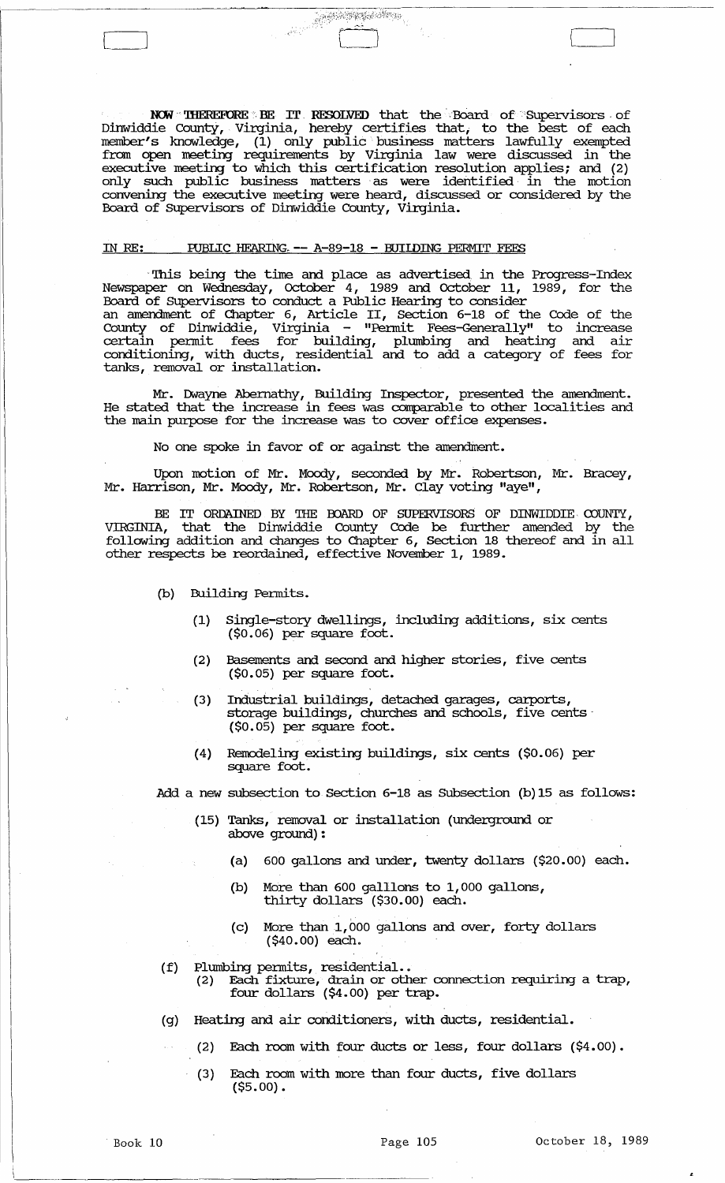NOW 'IHEREFORE BE IT RESOLVED that the Board of Supervisors of Dinwiddie CountY, Virginia, hereby certifies that, to the best of each member's knowledge, (1) only public" business matters lawfully exempted fram open meeting requirements by Virginia law were discussed in the executive meeting to which this certification resolution applies; and (2) only such public business matters as were identified in the motion convening the executive meeting were heard, discussed or considered by the Board of SUpervisors of Dinwiddie County, Virginia.

 $\begin{picture}(100,100) \put(0,0){\line(1,0){10}} \put(10,0){\line(1,0){10}} \put(10,0){\line(1,0){10}} \put(10,0){\line(1,0){10}} \put(10,0){\line(1,0){10}} \put(10,0){\line(1,0){10}} \put(10,0){\line(1,0){10}} \put(10,0){\line(1,0){10}} \put(10,0){\line(1,0){10}} \put(10,0){\line(1,0){10}} \put(10,0){\line(1,0){10}} \put(10,0){\line$ 

# IN RE: PUBLIC HEARING. -- A-89-18 - BUILDING PERMIT FEES

This being the time and place as advertised in the Progress-Index Newspaper on Wednesday, October 4, 1989 and October 11, 1989, for the Board of SUpervisors to conduct a Public Hearing to consider an amendment of Chapter .6, Article II, Section 6-18 of the Code of the County of Dinwiddie, Virginia - "Pennit Fees-Generally" to increase certain permit fees for building, plumbing and heating and air conditioning, with ducts, residential and to add a category of fees for tanks, removal or installation.

Mr. Dwayne Abernathy, Building Inspector, presented the amendment. He stated that the increase in fees was corrparable to other localities and the main purpose for the increase was to cover office expenses.

No one spoke in favor of or against the amendment.

Upon motion of Mr. Moody, seconded by Mr. Robertson, Mr. Bracey, Mr. Harrison, Mr. Moody, Mr. Robertson, Mr. Clay voting "aye",

BE IT ORDAINED BY THE BOARD OF SUPERVISORS OF DINWIDDIE COUNTY, VIRGINIA, that the Dinwiddie County Code be further amended by the following addition and changes to Chapter 6, Section 18 thereof and in all other respects be reordained, effective November 1, 1989.

- (b) Building Pennits.
	- (1) Single-story dwellings, including additions, six cents (\$0.06) per square foot.
	- (2) Basements and second and higher stories, five cents (\$0.05) per square foot.
	- (3) Industrial buildings, detached garages, carports, storage buildings, churches and schools, five cents· (\$0.05) per square foot.
	- (4) Remodeling existing buildings, six cents (\$0.06) per square foot.

Add a new subsection to Section 6-18 as Subsection (b)15 as follows:

- (15) Tanks, removal or installation (underground or above ground) :
	- (a) 600 gallons and under, twenty dollars (\$20.00) each.
	- (b) More than 600 galllons to 1,000 gallons, thirty dollars (\$30.00) each.
	- (c) More than 1,000 gallons and over, forty dollars (\$40.00) each.
- (f) Plumbing pennits, residential..
	- (2) Each fixture, drain or other connection requiring a trap, four dollars (\$4.00) per trap.
- (g) Heating and air conditioners, with ducts, residential.
	- (2) Each room with four ducts or less, four dollars (\$4.00).
		- (3) Each room with more than four ducts, five dollars (\$5.00).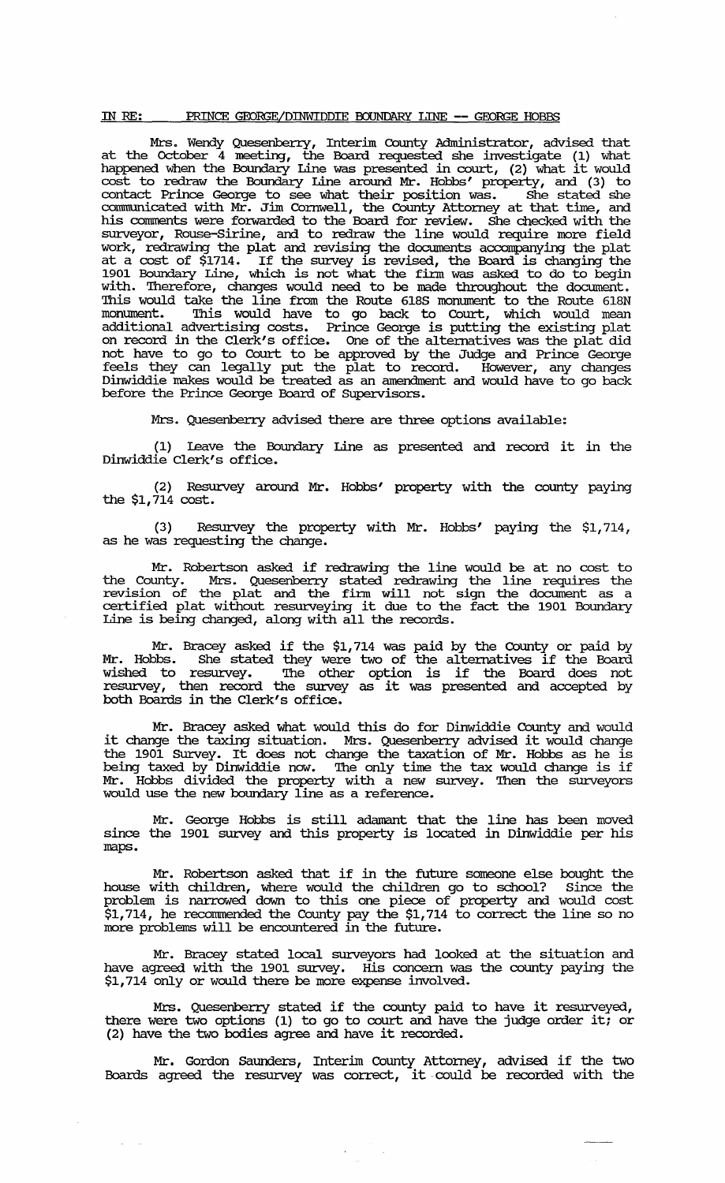#### IN RE: PRINCE GEORGE/DINWIDDIE BOUNDARY LINE -- GEORGE HOBBS

Mrs. Wendy Quesenberry, Interim County Administrator, advised that at the October 4 meeting, the Board requested she investigate (1) what happened when the Boundary Line was presented in court, (2) what it would cost to redraw the Boundary Line around Mr. Hobbs' property, and (3) to contact Prince George to see what their position was. She stated she communicated with Mr. Jim Cornwell, the County Attorney at that time, and his comments were forwarded to the Board for review. She checked with the surveyor, Rouse-Sirine, and to redraw the line would require more field work, redrawing the plat and revising the documents accompanying the plat at a cost of \$1714. If the survey is revised, the Board is changing the 1901 Boundary Line, which is not what the firm was asked to do to begin with. Therefore, changes would need to be made throughout the document. This would take the line from the Route 618S monument to the Route 618N monument. This would have to go back to Court, which would mean additional advertising costs. Prince George is putting the existing plat on record in the Clerk's office. One of the alternatives was the plat did not have to go to Court to be approved by the Judge and Prince George feels they can legally put the plat to record. However, any changes Dinwiddie makes would be treated as an amendment and would have to go back before the Prince George Board of supervisors.

Mrs. Quesenbeny advised there are three options available:

(1) leave the Boundary Line as presented and record it in the Dinwiddie Clerk's office.

(2) Resurvey around Mr. Hobbs' property with the county paying the \$1,714 cost.

(3) Resurvey the property with Mr. Hobbs' paying the \$1,714, as he was requesting the change.

Mr. Robertson asked if redrawing the line would be at no cost to the County. Mrs. Quesenbeny stated redrawing the line requires the revision of the plat and the finn will not sign the document as a certified plat without resw:.veying it due to the fact the 1901 Boundary Line is being changed, along with all the records.

Mr. Bracey asked if the \$1,714 was paid by the County or paid by Mr. Hobbs. She stated they were two of the alternatives if the Board wished to resurvey. The other option is if the Board does not wished to resurvey. The other option is if the board does not<br>resurvey, then record the survey as it was presented and accepted by both Boards in the Clerk's office.

Mr. Bracey asked what would this do for Dinwiddie County and would it change the taxing situation. Mrs. Quesenbeny advised it would change the 1901 SUrvey. It does not change the taxation of Mr. Hobbs as he is die 1901 Suivey. It does not diange die taxaction of m. houss as he is<br>being taxed by Dinwiddie now. The only time the tax would change is if Mr. Hobbs divided the property with a new survey. Then the surveyors would use the new boundary line as a reference.

Mr. George Hobbs is still adamant that the line has been moved since the 1901 survey and this property is located in Dinwiddie per his maps.

Mr. Robertson asked that if in the future someone else bought the house with children, where would the children go to school? since the problem is narrowed down to this one piece of property and would cost \$1,714, he recommended the County pay the \$1,714 to correct the line so no more problems will be encountered in the future.

Mr. Bracey stated local surveyors had looked at the situation and have agreed with the 1901 survey. His concern was the county paying the \$1,714 only or would there be more expense involved.

Mrs. Quesenberry stated if the county paid to have it resurveyed, there were two options (1) to go to court and have the judge order it; or (2) have the two bodies agree and have it recorded.

Mr. Gordon Saunders, Interim county Attorney, advised if the two Boards agreed the resurvey was correct, it could be recorded with the

 $\omega_{\rm{max}}$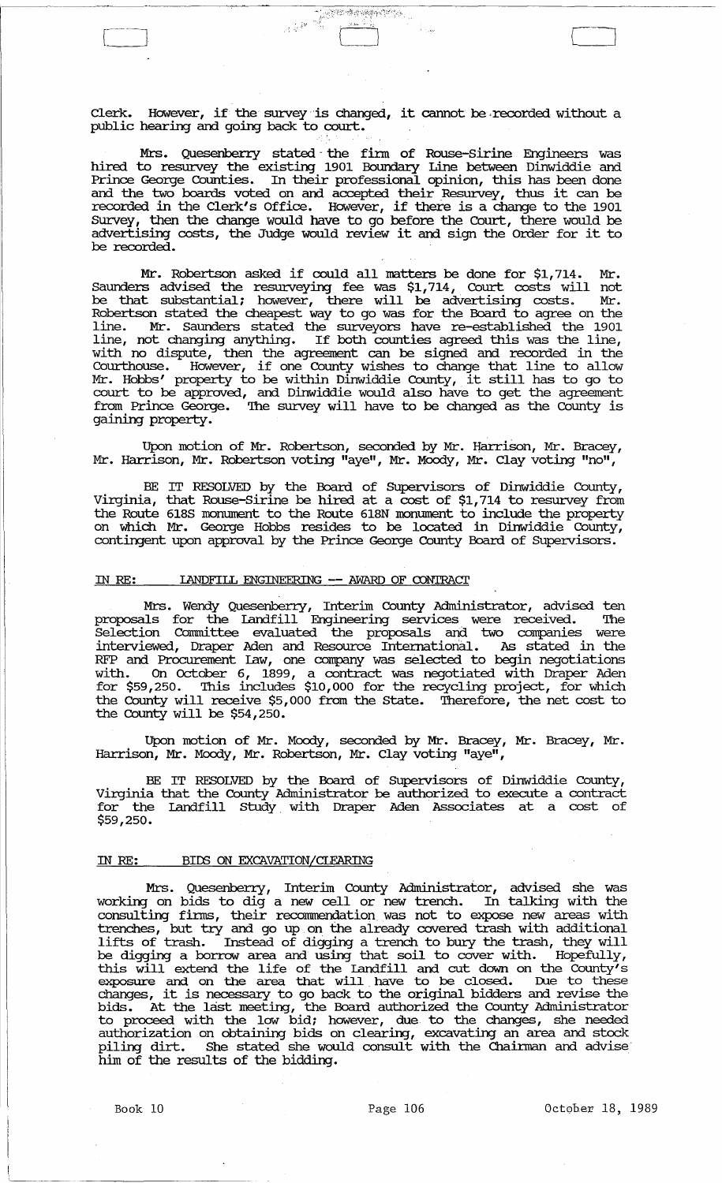Clerk. However, if the survey "is changed, it cannot be ,recorded without a public hearing and going back to court.

Mrs. Quesenberry stated - the finn of Rouse-Sirine Engineers was hired to resurvey the existing 1901 Boundary Line between Dinwiddie and Prince George Counties. In their professional opinion, this has been done and the two boards voted on and accepted their Resurvey, thus it can be recorded in the Clerk's Office. However, if there is a change to the 1901 SUrvey, then the change would have to go before the Court, there would be advertising costs, the Judge would review it and sign the Order for it to be recorded.

Mr. Robertson asked if could all matters be done for \$1,714. Mr. Saunders advised the resurveying fee was \$1,714, Court costs will not be that substantial; however, there will be advertising costs. Mr. Robertson stated the cheapest way to go was for the Board to agree on the line. Mr. Saunders stated the surveyors have re-established the 1901 line, in buddens believe are surveyers have to escontinue are 1501 with no dispute, then the agreement can be signed and recorded in the Courthouse. However, if one County wishes to change that line to allow Mr. Hobbs' property to be within Dinwiddie County, it still has to go to court to be approved, and Dinwiddie would also have to get the agreement from Prince George. The survey will have to be changed as the County is gaining property.

Upon motion of Mr. Robertson, seconded by Mr. Harrison, Mr. Bracey, Mr. Harrison, Mr. Robertson voting "aye", Mr. Moody, Mr. Clay voting "no",

BE IT RESOLVED by the Board of SUpervisors of Dinwiddie County, Virginia, that Rouse-Sirine be hired at a cost of \$1,714 to resurvey from the Route 618S monument to the Route 618N monument to include the property on which Mr. George Hobbs resides to be located in Dinwiddie County, contingent upon approval by the Prince George County Board of Supervisors.

### IN RE: LANDFILL ENGINEERING -- AWARD OF CONTRACT

Mrs. Wendy Quesenberry, Interim County Administrator, advised ten proposals for the Landfill Engineering services were received. The Selection Committee evaluated the proposals and two companies were interviewed, Draper Aden and Resource International. As stated in the RFP and Procurement law, one company was selected to begin negotiations with. On October 6, 1899, a contract was negotiated with Draper Aden for \$59,250. '!his includes \$10,000 for the recycling project, for which the County will receive \$5,000 from the State. '!herefore, the net cost to the County will be \$54,250.

Upon motion of Mr. Moody, seconded by Mr. Bracey, Mr. Bracey, Mr. Harrison, Mr. Moody, Mr. Robertson, Mr. Clay voting "aye",

BE IT RESOLVED by the Board of SUpervisors of Dinwiddie County, Virginia that the County Administrator be authorized to execute a contract for the Landfill Study with Draper Aden Associates at a cost of \$59,250.

### IN RE: BIDS ON EXCAVATION/CLEARING

Mrs. Quesenberry, Interim County Administrator, advised she was working on bids to dig a new cell or new trench. In talking with the consulting finns, their recornmendation.was not to expose new areas with trenches, but try and go up on the already covered trash with additional lifts of trash. Instead of digging a trench to bury the trash, they will be digging a borrow area and using that soil to cover with. Hopefully, this will extend the life of the landfill and cut down on the County's exposure and on the area that will have to be closed. Due to these changes, it is necessary to go back to the original bidders and revise the bids. At the last meeting, the Board authorized the County Administrator to proceed with the low bid; however, due to the changes, she needed authorization on obtaining bids on clearing, excavating an area and stock piling dirt. She stated she would consult with the Chainnan and advise him of the results of the bidding.

'-~-.-----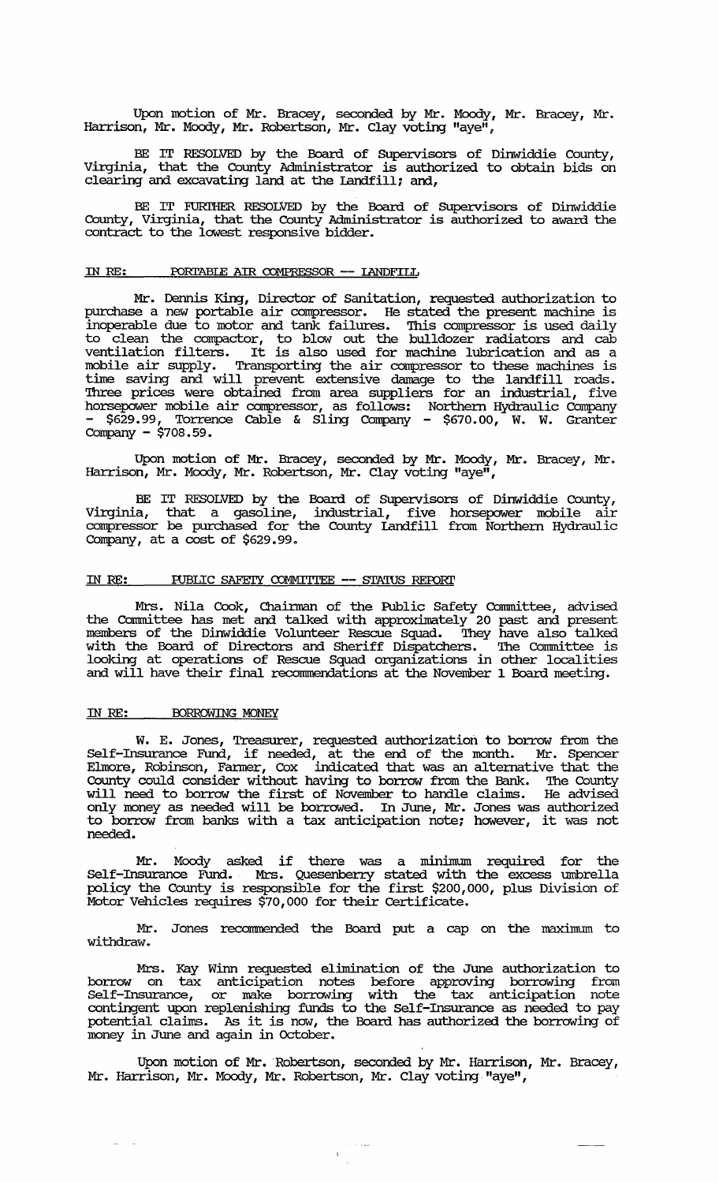Upon motion of Mr. Bracey, seconded by Mr. Moody, Mr. Bracey, Mr. Harrison, Mr. Moody, Mr. Robertson, Mr. Clay voting "aye",

BE IT RESOLVED by the Board of SUpervisors of Dinwiddie County, Virginia, that the County Administrator is authorized to obtain bids on clearing and excavating land at the landfill; and,

BE IT FURIHER RESOLVED by the Board of Supervisors of Dinwiddie County, Virginia, that the County Administrator is authorized to award the contract to the lowest responsive bidder.

### IN RE: PORTABLE AIR COMPRESSOR -- LANDFILL

Mr. Dennis King, Director of Sanitation, requested authorization to purchase a new portable air compressor. He stated the present machine is inoperable due to motor and tank failures. '!his compressor is used daily to clean the compactor, to blow out the bulldozer radiators and cab ventilation filters. It is also used for machine lubrication and as a mobile air supply. Transporting the air compressor to these machines is time saving and will prevent extensive damage to the landfill roads. 'Ihree prices were obtained from area suppliers for an industrial, five horsepower mobile air compressor, as follows: Northern Hydraulic Company - \$629.99, Torrence Cable & Sling Company - \$670.00, W. W. Granter Company - \$708.59.

Upon motion of Mr. Bracey, seconded by Mr. Moody, Mr. Bracey, Mr. Harrison, Mr. Moody, Mr. Robertson, Mr. Clay voting "aye",

BE IT RESOLVED by the Board of Supervisors of Dinwiddie County, Virginia, that a gasoline, industrial, five horsepower mobile air compressor be purchased for the County Landfill from Northern Hydraulic Company, at a cost of \$629.99.

### IN RE: PUBLIC SAFEIY COMMITIEE -- STATUS REPORT

Mrs. Nila Cook, Chairman of the Public Safety Committee, advised the Committee has met and talked with approximately 20 past and present members of the Dinwiddie Volunteer Rescue Squad. '!hey have also talked with the Board of Directors and Sheriff Dispatchers. The Committee is looking at operations of Rescue Squad organizations in other localities and will have their final recommendations at the November 1 Board meeting.

#### IN RE: BORROWING MONEY

W. E. Jones, Treasurer, requested authorization to borrow from the Self-Insurance Fund, if needed, at the end of the month. Mr. Spencer Elmore, Robinson, Fanner, Cox indicated that was an alternative that the County could consider without having to borrow from the Bank. '!he County will need to borrow the first of November to handle claims. He advised only money as needed will be borrowed. In June, Mr. Jones was authorized to borrow from banks with a tax anticipation note; however, it was not needed.

Mr. Moody asked if there was a minimum required for the Self-Insurance Fund. Mrs. Quesenberry stated with the excess umbrella policy the County is responsible for the first \$200,000, plus Division of Motor Vehicles requires \$70,000 for their Certificate.

Mr. Jones recommended the Board put a cap on the maximum to withdraw.

Mrs. Kay winn requested elimination of the June authorization to borrow on tax anticipation notes before approving borrowing from Self-Insurance, or make borrowing with the tax anticipation note contingent upon replenishing funds to the Self-Insurance as needed to pay potential claims. As it is now, the Board has authorized the borrowing of money in June and again in October.

Upon motion of Mr. 'Robertson, seconded by Mr. Harrison, Mr. Bracey, Mr. Harrison, Mr. Moody, Mr. Robertson, Mr. Clay voting "aye",

 $\sim$  . . . . .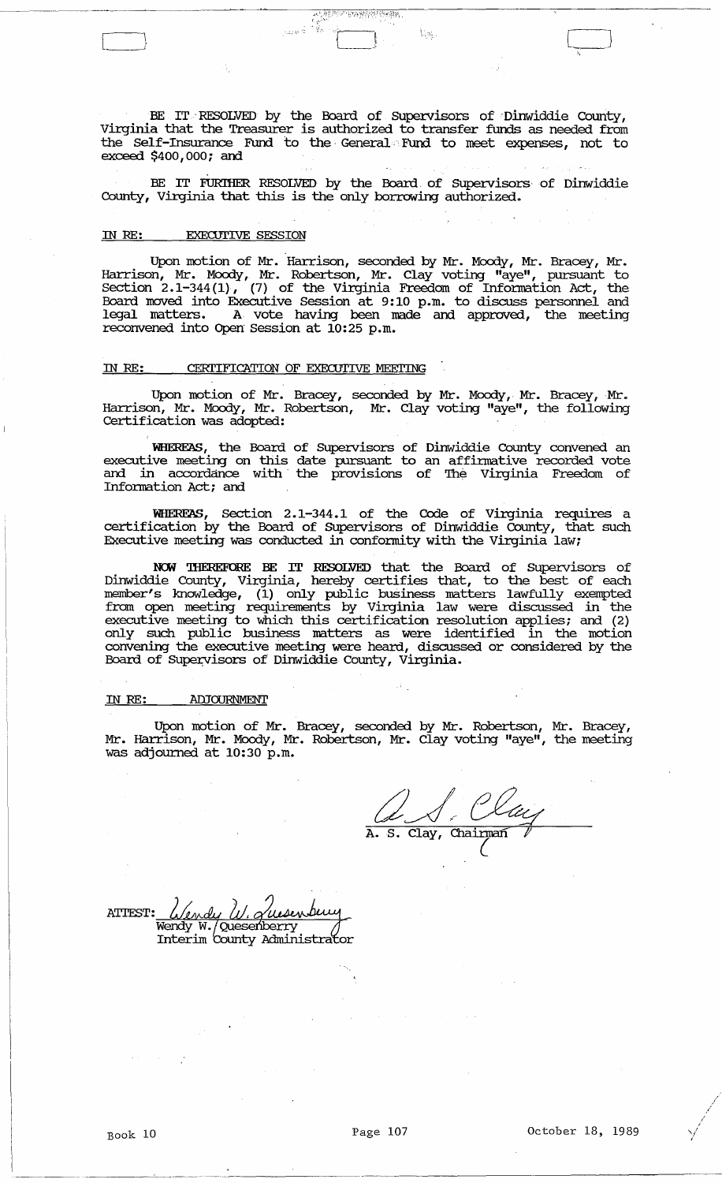BE IT RESOLVED by the Board of Supervisors of Dinwiddie County, Virginia that the Treasurer is authorized to transfer funds as needed from the Self-Insurance Fund to the General Fund to meet expenses, not to exceed \$400,000; and

 $\frac{1}{2}$   $\frac{1}{2}$   $\frac{1}{2}$   $\frac{1}{2}$   $\frac{1}{2}$   $\frac{1}{2}$   $\frac{1}{2}$   $\frac{1}{2}$   $\frac{1}{2}$   $\frac{1}{2}$ 

BE IT FURIHER RESOLVED by the Board. of SUpervisors of Dinwiddie County, Virginia that this is the only borrowing authorized.

## IN RE: **EXECUTIVE SESSION**

Upon motion of Mr. Harrison, seconded by Mr. Moody, Mr. Bracey, Mr. Harrison, Mr. Moody, Mr. Robertson, Mr. Clay voting "aye", pursuant to Section  $2.1-344(1)$ , (7) of the Virginia Freedom of Information Act, the Board moved into Executive Session at 9:10 p.m. to discuss persormel and legal matters. A vote having been made and approved, the meeting reconvened into Open Session at 10:25 p.m.

### IN RE: CERTIFICATION OF EXECUTIVE MEETING

Upon motion of Mr. Bracey, seconded by Mr. Moody, Mr. Bracey, Mr. Harrison, Mr. Moody, Mr. Robertson, Mr. Clay voting "aye", the following Certification was adopted:

WHEREAS, the Board of SUpervisors of Dinwiddie County convened an executive meeting on this date pursuant to an affinnative recorded vote and in accordance with the provisions of The Virginia Freedom of Information Act; and

WHEREAS, Section 2.1-344.1 of the Code of Virginia requires a certification by the Board of SUpervisors of Dinwiddie county, that such Executive meeting was conducted in confonnity with the Virginia law;

:NCM 'IHEREFORE BE IT RESOLVED that the Board of SUpervisors of Dinwiddie County, Virginia, hereby certifies that, to the best of each member's knowledge, (1) only public business matters lawfully exempted from open meeting requirements by Virginia law were discussed in the executive meeting to which this certification resolution applies; and (2) only such public business matters as were identified in the motion convening the executive ineeting were heard, discussed or considered by the Board of Supervisors of Dinwiddie County, Virginia.

### IN *RE:* ADJOURNMENT

Upon motion of Mr. Bracey, seconded by Mr. Robertson, Mr. Bracey, Mr. Harrison, Mr. Moody, Mr. Robertson, Mr. Clay voting "aye", the meeting was adjourned at 10:30 p.m.

A. S. Clay, Chainnaff *I'*  (

ATTEST: Wendy W. Quesenberry<br>Wendy W. Quesenberry<br>Interim County Administrator

----~--... - .... ---.. --------